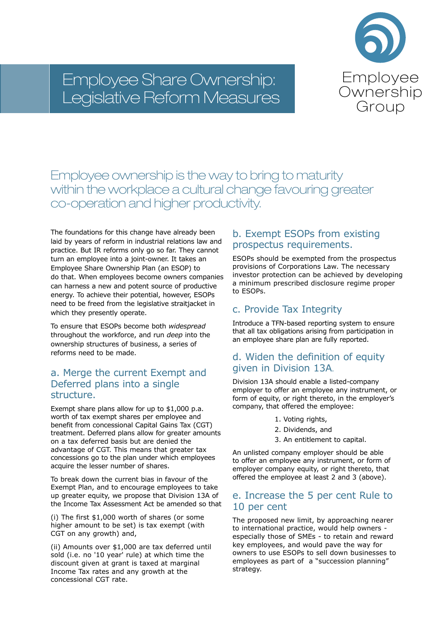

# Employee Share Ownership: Legislative Reform Measures

## Employee ownership is the way to bring to maturity within the workplace a cultural change favouring greater co-operation and higher productivity.

The foundations for this change have already been laid by years of reform in industrial relations law and practice. But IR reforms only go so far. They cannot turn an employee into a joint-owner. It takes an Employee Share Ownership Plan (an ESOP) to do that. When employees become owners companies can harness a new and potent source of productive energy. To achieve their potential, however, ESOPs need to be freed from the legislative straitjacket in which they presently operate.

To ensure that ESOPs become both *widespread* throughout the workforce, and run *deep* into the ownership structures of business, a series of reforms need to be made.

#### a. Merge the current Exempt and Deferred plans into a single structure.

Exempt share plans allow for up to \$1,000 p.a. worth of tax exempt shares per employee and benefit from concessional Capital Gains Tax (CGT) treatment. Deferred plans allow for greater amounts on a tax deferred basis but are denied the advantage of CGT. This means that greater tax concessions go to the plan under which employees acquire the lesser number of shares.

To break down the current bias in favour of the Exempt Plan, and to encourage employees to take up greater equity, we propose that Division 13A of the Income Tax Assessment Act be amended so that

(i) The first \$1,000 worth of shares (or some higher amount to be set) is tax exempt (with CGT on any growth) and,

(ii) Amounts over \$1,000 are tax deferred until sold (i.e. no '10 year' rule) at which time the discount given at grant is taxed at marginal Income Tax rates and any growth at the concessional CGT rate.

#### b. Exempt ESOPs from existing prospectus requirements.

ESOPs should be exempted from the prospectus provisions of Corporations Law. The necessary investor protection can be achieved by developing a minimum prescribed disclosure regime proper to ESOPs.

#### c. Provide Tax Integrity

Introduce a TFN-based reporting system to ensure that all tax obligations arising from participation in an employee share plan are fully reported.

### d. Widen the definition of equity given in Division 13A.

Division 13A should enable a listed-company employer to offer an employee any instrument, or form of equity, or right thereto, in the employer's company, that offered the employee:

- 1. Voting rights,
- 2. Dividends, and
- 3. An entitlement to capital.

An unlisted company employer should be able to offer an employee any instrument, or form of employer company equity, or right thereto, that offered the employee at least 2 and 3 (above).

#### e. Increase the 5 per cent Rule to 10 per cent

The proposed new limit, by approaching nearer to international practice, would help owners especially those of SMEs - to retain and reward key employees, and would pave the way for owners to use ESOPs to sell down businesses to employees as part of a "succession planning" strategy.